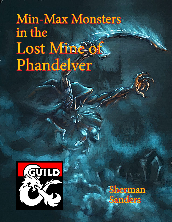# Min-Max Monsters in the Lost Müne bf Phandelver



**Sherman** Sanders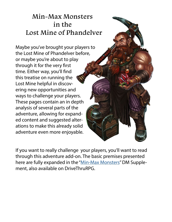## Min-Max Monsters in the Lost Mine of Phandelver

Maybe you've brought your players to the Lost Mine of Phandelver before, or maybe you're about to play through it for the very first time. Either way, you'll find this treatise on running the Lost Mine helpful in discovering new opportunities and ways to challenge your players. These pages contain an in depth analysis of several parts of the adventure, allowing for expanded content and suggested alterations to make this already solid adventure even more enjoyable.

If you want to really challenge your players, you'll want to read through this adventure add-on. The basic premises presented here are fully expanded in the ["Min-Max Monsters](http://www.drivethrurpg.com/product/207932/MinMax-Monsters)" DM Supplement, also available on DriveThruRPG.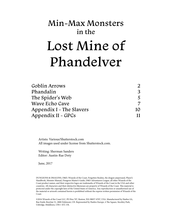## Min-Max Monsters in the Lost Mine of Phandelver

| Goblin Arrows            |    |
|--------------------------|----|
| Phandalin                | 3  |
| The Spider's Web         |    |
| <b>Wave Echo Cave</b>    |    |
| Appendix I - The Slavers | 10 |
| Appendix II - GPCs       | 11 |

Artists: Various/Shutterstock.com All images used under license from Shutterstock.com.

Writing: Sherman Sanders Editor: Austin-Rae Doty

June, 2017

DUNGEONS & DRAGONS, D&D, Wizards of the Coast, Forgotten Realms, the dragon ampersand, Player's Handbook, Monster Manual, Dungeon Master's Guide, D&D Adventurers League, all other Wizards of the Coast product names, and their respective logos are trademarks of Wizards of the Coast in the USA and other countries. All characters and their distinctive likenesses are property of Wizards of the Coast. This material is protected under the copyright laws of the United States of America. Any reproduction or unauthorized use of the material or artwork contained herein is prohibited without the express written permission of Wizards of the Coast.

©2016 Wizards of the Coast LLC, PO Box 707, Renton, WA 98057-0707, USA. Manufactured by Hasbro SA, Rue Emile-Boéchat 31, 2800 Delémont, CH. Represented by Hasbro Europe, 4 The Square, Stockley Park, Uxbridge, Middlesex, UB11 1ET, UK.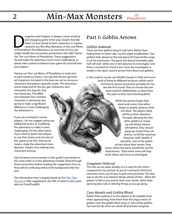**OUT ALCONGRY A THEORY IS CONSIDERED A** and engaging game when your players feel like there is a true threat to their characters in a game I present you Min-Max Monsters, in the Lost Min of Phandelver! The following is an and engaging game when your players feel like there is a true threat to their characters in a game. I present you Min-Max Monsters, in the Lost Mines might handle the encounters presented in the D&D Starter Set, The Lost Mines of Phandelver. These suggestions should make the adventure much more challenging, so please take caution to balance your game for yourself and your players.

Having run The Lost Mines of Phandelver in total and in part numerous times, I can say that the pre-generated characters (included in the box) are not as strong as characters that players typically create. The adventure seems balanced for the pre-gen characters, and

somewhat too easy for original characters. The difference between four and five characters is obviously also going to make a significant difference in how challenging the adventure is.

If you are running for novice players, I do not suggest using any additional tactics or modifying the adventure to make it more challenging. On the other hand, if you want to teach new players to use their brains and not rely on the game to be 'fair', then by all means, make the adventure more dynamic. Players love making new characters anyway.

Each location and encounter in this guide is presented in the same order as in the adventure module. Read through those encounters before reading the suggestions here as they will be confusing without the background information.

The information here is largely based on the "[Min-Max](http://www.drivethrurpg.com/product/207932/MinMax-Monsters)  [Monsters"](http://www.drivethrurpg.com/product/207932/MinMax-Monsters) DMs supplement, the PDF of which is also available on DriveThruRPG.

## Part 1: Goblin Arrows

## Goblin Ambush

There are four goblins lying in wait here. Rather than hiding them to either side, try this slight modification. Two goblins hide ahead on the trail about 60' beyond the corpses of the two horses. The party will almost invariably split; half will wait while one or two advance to investigate. Give them a moment to check it out. Once the investigator is totally in the open, launch arrows from those two goblins.

In the surprise round, use Nimble Escape to Hide and move both of them to different locations within reach. Feel free to ignore movement penalties for terrain the first round. They've chosen this ambush position deliberately, so they know the path to their next shooting blind.

> While the archers begin their shoot-and-scoot, their allies begin to quietly advance from one flank. The players likely will focus their attention forward, allowing the two other goblins to sneak up and attack anyone left behind. They should gang-up as best they can and try to kill the rearmost character (with Stealth, if possible). Just as the goblin archers know their terrain, they know where the party would first see the dead horses. They know some will stop while others will move to investigate.

## Cragmaw Hideout

This site can be quite deadly, as it is easy for the entire compound to be alerted. As you're running for first level characters here, you'll have to pull some punches. The best way to do this is to balance things ahead of time. Allow the players to fail or succeed by their own merits, rather than ignoring dice rolls or altering things as you go along.

## Cave Mouth and Goblin Blind

Rather than putting it on the players to be stupidly loud when approaching, have them hear the angry voices of goblins over the goblin blind (area 2). One of the goblins has had the tip of his ear sliced off and been assigned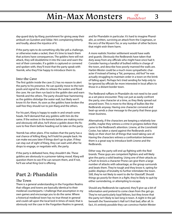day-guard duty by Klarg; punishment for giving away their ambush on Gundren and Sildar. He's complaining bitterly, and loudly, about the injustice of it.

If the party opts to do something silly like yell a challenge, or otherwise make a racket, then it's time to teach them that actions have consequences. The goblins here will not attack, they will doubletime it into the cave and warn the rest of their comrades. If a goblin is captured or cornered and spoken with, they'll insist that the party speak with Yeemik, who they'll be happy to introduce them to.

#### Into the Cave

The first goblin inside the cave (5.) has no reason to alert the party to his presence. He can quickly move to the twin pools and signal his allies to release the waters and flood the cave. He can then run back to the goblin den and warn Yeemik and the others. The party should hear hammering as the goblins dislodge the water wall, but likely won't know it's for them. As soon as the goblins have broken the wall free they should run to join Klarg and the others.

For his part, Klarg is happy to wade in and smash some heads. He'll demand that any goblins with him do the same. If the wolves in the kennels below are making noise and obviously still alive, he'll shove a goblin down the fissure to free them before heading out to take on the party.

Yeemik has other plans. If he realizes that the party has a real chance of killing Klarg, he'll hold his people back. He can make excuses later if things don't go to plan. If they can stay out of sight of Klarg, they can wait until after he drops to engage, or negotiate with, the party.

If the party is defeated here, they shouldn't die. These goblins are obviously in a prisoner-taking mood. Klarg will question them to see if he can ransom them, and if not, he'll see what King Grol is offering.

## Part 2: Phandalin

#### The Town

There is a general understanding in the Forgotten Realms that villages and towns are basically identical to their medieval counterparts. I challenge that assumption in my own games and encourage you to do the same. Where a historical medieval town has no true threat in general and could call upon the local lord in times of need, that is obviously not the case in the Forgotten Realms in general, and for Phandalin in particular. It's hard to imagine Phandalin, as written, surviving an attack from the Cragmaws, or the orcs of the Wyvern Tor, or any number of other factions that might wish them harm.

A more realistic frontier settlement would have walls and guards. Obviously the Redbrands have taken that duty away from any officials who might have once had it. Consider having a handful of bullied militia in charge of the town, and describe how poorly manned the walls are. Harbin Wester could be a much more sympathetic character if instead of being a "fat, pompous, old fool" he was actually struggling to maintain order in a town on the brink of falling apart. Perhaps he's tried sending for help only to be ignored by officials far more interested in local affairs to those in a distant border town.

The Redbrand ruffians in Phandalin do not need to be used as a set-piece encounter. They can just as easily confront the party, one character at a time, as they likely spread out around town. This is more to the liking of bullies like the Redbrands anyway. Having one character cornered and beat-up sends a clear message to the party that these guys mean business.

Alternatively, if the characters are keeping a relatively low profile, maybe they witness a crime in progress before they came to the Redbrand's attention. Linene, at the Lionshield Coster, has taken a stand against the Redbrands and is likely on their short list of things that need taking care of. Having the characters witness a confrontation between them is a great way to introduce both Linene and the Redbrands.

Either way, the party will end up fighting with the Redbrands. These guys are competent fighters and will likely give the party a solid beating. Using one of their attacks as a Push to knock a character Prone can give them a large number of attacks with advantage, as the group surrounds and beats them. They're tough and they know it, opting for public displays of brutality to further intimidate the town. Still, they're not likely to want to die for Glasstaff. Should things go poorly for them in a fight, they're likely to quit by either surrendering, or attempting to escape.

Should any Redbrands be captured, they'll give up a bit of information and pretend to come clean from the get-go. They're not particularly loyal fellows, but they know that the party isn't likely to last long in town. A night in the jail beneath the Townmaster's Hall isn't that bad, after all. In fact, it's entirely possible they can convince Harbin Wester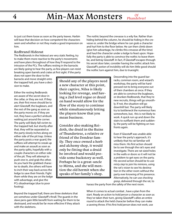to just cut them loose as soon as the party leaves. Harbin will base that decision on how competent the characters seem and whether or not they made a good impression on him.

### Redbrand Hideout

The Redbrands in the hideout are very static feeling, try to make them more reactive to the party's movements and have plans throughout of how they'll respond to the intrusion of the PCs. The ruffians resting in the barracks are likely going to hear the party, as few players can resist breaking open barrels and crates at first sight. If the party

does not open the door to the barracks and move straight onto the trapped hall, you have a decision to make.

Either the resting Redbrands are aware of the secret door in the cellar, or they are not. If they are, their first move should be to alert Glasstaff, the bugbears, and the rest of the gang as soon as the party moves on. If they are not, they have a perfect ambush waiting just around the corner. The party will likely fall victim to the trapped hall, but shortly after that, they will be separated as the party slowly inches along on either side of the pit trap. Unless the party posts a rear guard, the ruffians will attempt to sneak up and make an assault as soon as the party splits, hopefully with a couple characters on either side of the pit. They will attempt to push one in, and grab the other. As you hack the grabbed character to death, the others will have to inch their way back across the ledge to save their friends. Fight them while they are on the ledge with advantage, and give the PCs disadvantage (due to poor footing).

Should any of the players need a new character at this point, their captive, Nilsa is likely looking for revenge, and having a 2nd level rogue or druid on hand would allow for the flow of the story to continue while simultaneously letting the players know that you mean business.

Consider also making Reidoth, the druid in the Ruins of Thundertree, a relative or friend of the Dendrar family. They once owned a herb and alchemy shop, it would only be fitting that a druid be involved and would provide some backstory as well. Perhaps he is a great-uncle to Mirna, and she will mention the old hermit when she speaks of her family's shop.

The nothic beyond the crevasse is a wily foe. Rather than hiding behind the column, he should be hiding in the crevasse or, under the bridge where he can grab a character and hurl him to the floor below. He can then climb down (give him advantage, he climbs this crevasse all the time) and haul the character under a ledge to feast upon. Hopefully the party is able to convince the nothic to leave them be, and betray Glasstaff. In fact, if Glasstaff escapes through his secret door later, consider having the nothic attack him. Glasstaff's *potion of invisibility* will do him little good should the nothic turn against him, due to truesight.

> Descending into the guard barracks, common room, and wizard's workshop, the party will be hardpressed not to bring everyone out of their chambers at once. If they are able to convince the bugbears, or drunken Redbrands, that they're new recruits, things will go smoothly. If not, the situation will go downhill fast. The party will likely try to bottleneck the numerous foes somewhere, but, this is not likely to work. A quick run up and down the stairs to outflank them and suddenly, the party will be fighting on two fronts again.

> Even if Glasstaff was unable able to hear the party's approach, it's unlikely that his rat familiar will miss them. His first action should be to see through the rat's eyes and investigate. There are rat sized holes in the walls or doors so it will not be a problem to get eyes on the party. His second action should be to use *misty step* to join his minions, using the rat's vision to see his destination in the other room without the party ever knowing of his presence. Alternatively, he can use *shocking grasp*, delivered through the rat, to

harass the party from the safety of the next room.

Beyond the trapped hall, there are three skeletons that are somehow under Glasstaff's thrall. The guards in the slave pens gain little benefit from waiting for them to be destroyed, and would be far more effective if they attack with the skeletons.

When it comes to actual combat , have a plan from the start. Ready an action to *hold person* a character as soon as they've taken their turn, giving Glasstaff's allies an entire round to attack the held character before they can make a saveing throw. If his first *hold person* does not work, use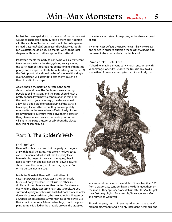## $Min-Max$  Monsters  $_{Phandelver!}$  5 Phandelver!

his last 2nd level spell slot to cast *magic missile* on the most wounded character, hopefully taking them out. Additionally, the scrolls in Glasstaff's chest should be on his person instead. Casting *fireball* on a second level party is rough, but Glasstaff should be saving that for when things get desperate. He would rather capture them after all...

If Glasstaff meets the party to parley, he will likely attempt to *charm person* from the start, gaining an ally amongst the party members to argue his points for him. If things go poorly, and escape is unlikely, he will certainly surrender. At the first opportunity, should he be left alone with a single guard, Glasstaff will attempt to cast *charm person* on them to aid in his escape.

Again, should the party be defeated, the game should not end here. The Redbrands are capturing people to sell to slavers, and the party should fetch a pretty copper. If you have a continuation in mind for the next part of your campaign, the slavers would allow for a good bit of foreshadowing. If the party is to escape, it should be before they are completely removed from the area. A handoff with lowly villains from your next adventure would give them a taste of things to come. You can also name-drop important villains in the party's future, or talk about the places they might someday go.

## Part 3: The Spider's Web

## Old Owl Well

Hamun Kost is a poor host, but the party can negotiate with him all the same. He's broken no laws (that can be proven) and will insist that the party leave him to his business. If they want him gone, they'll need to fight him and he's not going down easy. He should have the potion, scroll, and *ring of protection* on his person, not in a bag.

Much like Glasstaff, Hamun Kost will attempt to cast *charm person* on a character if they get overly testy, but not yet violent. He will use his other spells similarly. His zombies are another matter. Zombies can overwhelm a character using Push and Grapple. As you surround a party member, use Push to knock that character down. Once knocked down, the next zombie will attempt a Grapple (at advantage). Any remaining zombies will use their attacks as normal (also at advantage). Until the grappling zombie is killed or the grapple broken, the grappled

character cannot stand from prone, as they have a speed of zero.

If Hamun Kost defeats the party, he will likely try to save one or two in order to question them. Otherwise, he does not seem to be a particularly charitable soul.

## Ruins of Thundertree

It's hard to imagine anyone surviving an encounter with Venomfang. Hopefully, Reidoth the Druid is able to dissuade them from adventuring further. It is unlikely that



anyone would survive in the middle of town, less than 200' from a dragon. So, consider having Reidoth meet them on the road as they approach, or catch up after they've fought their first twig blights. For example, "I saw you from afar, and hurried to warn you!"

Should the party persist in seeing a dragon, make sure it's memorable. Venomfang is highly intelligent, nefarious, and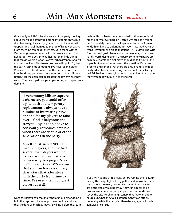thoroughly evil. He'll likely be aware of the party moving about the village (if they're getting into fights only a hundred feet away). He can flyby, snatch up a character with Grapple, and haul them up to the top of his tower, easily. From there, he can negotiate whatever deal he wishes. Venomfang seems content with his new lair, now it just needs loot. Who better to gather loot than little things that can go where dragons can't? Perhaps Venomfang will ask that the floor of his tower be covered in gold. Or, that the party, "bring me something I've never seen before." Whatever his offer, demand that the party perform before the kidnapped character is returned to them. If they refuse, tear the character apart atop the tower while they watch. Then swoop down, pick up another, and repeat your demand.

> If Venomfang kills or captures a character, you could offer up Reidoth as a temporary replacement. I always have a number of interesting NPCs onhand for my players to take over. I find it heightens the story telling if I don't have to constantly introduce new PCs when there are deaths or other separations in the party.

A well constructed NPC can inspire players, and I've had several that players wanted to take as their own, at least temporarily. Keeping a "stable" of ready Guest PCs means that you can have reoccuring characters that adventure with the party from time to time. I've used them for guest players as well.

Once the party acquiesces to Venomfang's demands, he'll hold the captured character prisoner until he's satisfied they've done as much as they are willing before they turn on him. He is a lawful creature and will ultimately uphold his end of whatever bargain is struck, twisted as it might be. Fortunately there is a backup character in the form of Reidoth on hand to pick right up. "Fools! I warned you! But I won't let your friend die to that fiend…" - Reidoth, The Wise Five hundred gold pieces and a couple of magic items are hardly worth dying over. If the party somehow sneaks up on him, Venomfang's first move should be to fly out of the top of his tower to better assess the situation. Once he's airborne and can see that there are only a handful of foolhardy adventurers threatening him and not a small army, he'll fall back on the original tactic of snatching them up as they try to follow him, or flee the tower.



If you wish to add a little levity before ruining their day, try having the twig blights slowly gather and follow the party throughout the town; only moving when the characters are distracted or walking away (they can appear to be bushes every time the party stops to look around). Describe the bizarre, changing scenery that they can't quite figure out. Once they've all gathered, they can attack, preferably while the party is otherwise engaged with ash zombies or cultists.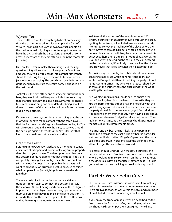## Min-Max Monsters **Phandelver!** 7 Phandelver!

#### Wyvern Tor

There is little reason for everything to be at home every time the party comes calling. For example, the Orcs of Wyvern Tor, in particular, are known to attack people on the road. A more intriguing encounter might be to either have the orcs ambush the party along the road, or come across a merchant as they are attacked (or in the moments just after).

Orcs are far better in melee than at range and their aggressive ability allows them to close quickly. Even in an ambush, they're likely to charge into combat rather than shoot. In fact, Gog the ogre is the most likely to throw a javelin before engaging. The orcs should use their tremendous speed to make sure the entire party is engaged on the first round.

Tactically, if the orcs attack one character in sufficient numbers, they would do well to spend a little time knocking that character down with a push. Heavily armored characters, in particular, are good candidates for being knocked down so the rest of the orc's allies will benefit from advantage on their attacks.

If you want to be nice, consider the possibility that the orcs at Wyvern Tor have made contact with the same slavers that the Redbrands and Cragmaw have been selling to. This will give you an out and allow the party to survive should the battle go against them. Brughor Axe-Biter isn't that kind of orc as written, but he easily could be.

## Cragmaw Castle

Before running Cragmaw Castle, take a moment to consider its state of disrepair and how it looks so you can properly describe it to your players. The description says that only the bottom floor is habitable, not that the upper floors are completely missing. Presumably, the entire bottom floor still has a roof (or does it?). It is possible the players will want to adventure on crumbling walls above, so consider what happens if the (very light) goblins below decide to join them.

There are no indications on the map where stairs or trapdoors might exist to connect the bottom floor with those above. Without being overly critical of this design, it's important that the players have as many options open to them as possible if they're to make intelligent decisions. As it stands, there are three access points to the castle, consider that there might be more from above as well.

Wall to wall, the entirety of the keep is just over 100' in length. It's unlikely that a party moving through the keep, fighting its denizens, will not alert everyone very quickly. Attempt to convey the small size of the place before the party moves to assault it. Hopefully, guile and stealth win out over bravado, or it will likely be a very short assault. As described, there are 18 goblins, 6 hobgoblins, a wolf, King Grol, and Vyerith defending the castle. If they all descend on the party at once, it's unlikely to end well for the characters. However, that is exactly what they'll attempt to do.

At the first sign of trouble, the goblins should send messengers to make sure Grol is coming. Hobgoblins can easily use Dodge to aid them in holding the party off until reinforcements arrive. Any who wish to retreat should do so through the shrine where the grick clings to the walls, awaiting its next meal.

As a whole, Grol's minions should seek to encircle the party. By falling back into the heart of the castle, they can lure the party into the trapped hall and hopefully get the grick to engage as well. Once in the kitchen or shrine area, the party should find themselves engaged from all sides. Hobgoblins benefit tremendously from having allies about, so they should always Dodge if an ally is not present. Their high armor class means they can easily hold a position by themselves until reinforcements arrive.

The grick and owlbear are not likely to take part in an organized defense of the castle. The owlbear in particular is at least as likely to attack King Grol's people as the party. Still, if the opportunity presents itself the defenders may attempt to get those creatures involved.

As before, should King Grol win the day, it's unlikely the party is put to death. Grol is also in contact with the slavers who are looking to make some coin on those he captures. If the grick takes down a character, they are dead. A grick's gotta eat and no one is willing to take food away from it.

## Part 4: Wave Echo Cave

The tumultuous circumstances in Wave Echo Cave actually make this site easier than previous ones in many respects. There are two factions at war within the cave and a number of unaffiliated creatures wandering about as well.

If you enjoy the trope of magic items on dead bodies, feel free to leave the *boots of striding and springing* where they lay. Though, I'd sooner put them on a ghoul (who'll use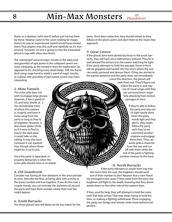## 8 Min-Max Monsters Phande Phandelver!

them) or a skeleton (who won't) before just having them lay there. Nezznar came to the caves looking for magic; there's no way an experienced wizard would have missed them. Plus, players miss this stuff and rightfully so, it's nonsensical. However, no one is going to miss the emaciated ghoul in rags with shiny new boots.

The submerged *wand of magic missiles* in the dark pool, and *gauntlets of ogre power* in the collapsed cavern are more intriguing, as the reward is there for exploration (as opposed to for checking every dead body). Still, the flameskull using *mage hand* to wield a *wand of magic missiles*, or a ghoul with *gauntlets of ogre power*, sound way more interesting.

2. Mine Tunnels

The ochre jelly does not wish to engage large groups. However, it has a speed of 10', and tests stealth at -2. You should keep track of where the creature is, roughly, and have it move away from the party so long as they're all together. However, it does have spider climb, so if it were to find its way to the dark pool, it could hide on the ceiling. It may also have crevasses it can squeeze into, though where those might be, is up to you.

Once the party is separated, or properly distracted, is when the ochre jelly should move in to attack!

## 4. Old Guardroom

Consider not having all nine skeletons in this area animate at once. Describe the floor as being alive with activity as the bones tumble and fuse together. If you do this over a couple rounds, you can animate the skeletons all around the party and have them wonder where their next foe might appear.

## 6. South Barracks

The three ghouls here will likely not be any match for the

party. Once they realize this, they should retreat to their fellows in the great cavern and alert them to the meals that approach.

#### 9. Great Cavern

If the ghouls here were alerted by those in the south barracks, they will have set a rudimentary ambush. They lie in wait around the entrance to the cavern watching for light. If the party attempts to hold the passage, those in front will be grappled and hauled into the room where the rest can easily surround and devour them. If they are alerted to the parties presence and the party does not immediately

come this direction, the ghouls will seek them out. They'll figure out where the party is, and stay out of visual range until they can surround them, hopefully attacking from several passages at once.

> If they're able to follow the party and stay out of sight (easily done when the party needs light and they don't), they might follow the party until they've encountered another creature and engage them then. They can easily grab a character from the rear and run off with them while the rest of the party is fighting another creature to the front.

## 11. North Barracks

If the party attempts to smash their way into the room from the east, the bugbears should send one of their number to alert Nezznar that a new threat has emerged in the caves. If they enter from the west, the bugbears will fight to the death, knowing that fiery doom awaits them on the other side of the eastern door.

If they send for help, they will attempt to hold the room until that help arrives. That may mean trying to hold the door, or making a fighting withdrawal. Those engaging the party can Dodge and retreat, while those behind hurl javelins.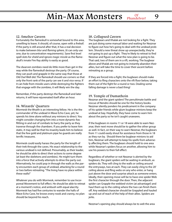## $Min-Max$  Monsters  $_{Phandedver!}$  9 Phandelver!

#### 12. Smelter Cavern

Fortunately the flameskull is somewhat bound to this area, unwilling to leave. It should, of course, open with a *fireball*. If the party is still around after that, it has a real decision to make between *blur* and *flaming sphere*, (it can only use one, due to concentration requirements). Save first level spell slots for *shield* and ignore *magic missile* as the flameskull's innate Fire Ray ability is easily as good.

The dwarven zombies need do little more than get in the way while the flameskull destroys the party. Of course, they can push and grapple in the same way that those at Old Owl Well did. The flameskull should use corners so that only the front rank of the party can see it and vice versa. If it can hide from missile users while destroying the fighters that engage with the zombies, it will likely win the day.

Remember, if the party destroys the flameskull and later returns, it will have rejuvenated itself after an hour.

#### 14. Wizards' Quarters

Mormesk the Wraith is an interesting fellow. He is the the commander of the undead in Wave Echo Cave, yet, he spends his time alone without any minions to direct. You might consider changing him into a more dynamic foe; flitting in and out of combats to harry the party as they traverse through the chambers. If you prefer to leave him static, it may well be that his insanity leads him to believe that the few gold and platinum pipe he guards are really terrific treasures.

Mormesk could easily harass the party for the length of their trek through the caves. His exact relationship to the various undead is not defined. Presumably, as their leader, he should be able to direct their actions to some degree (at least the skeletons and zombies). He might turn them into a force that actively attempts to drive the party out. Alternatively, he could pop in through the walls as the party encounters each group of undead, attacking for a round or two before retreating. "The living have no place within these walls!"

Whatever you do with Mormesk, remember to use Incorporeal Movement to full effect. He should be able to retreat at a moment's notice, and ambush with equal alacrity. Mormesk has had five centuries to wander the halls of Wave Echo Cave, he knows every nook and cranny, no plan should be beyond his reach.

#### 18. Collapsed Cavern

The bugbears and Vhalak are not looking for a fight. They are just doing some manual labor and waiting for Nezznar to figure out how he's going to deal with the undead problem. Should a new threat show up unexpectedly, they're not going to put up a fight. They're likely to retreat to find Nezznar and figure out what the new plan is going to be. That said, two of them are in a rift, working. The bugbear above and Vhalak are not going to instantly abandon their allies, but will take the time to cover their ascent before retreating as a group.

If they are forced into a fight, the bugbears should make an effort to fling characters onto the rift floor below, taking them out of the fight for a round or two. Dealing some falling damage is never a bad thing!

#### 19. Temple of Dumathoin

Nezznar and the giant spiders! The penultimate battle and rescue of Nendro should be one for the history books. Nezznar silently ponders his predicament in the company of his spider friends while glum bugbear minions keep the undead at bay. Hopefully, they have come to warn him about the party so he isn't caught unawares.

If the bugbears in rooms 11 or 18 were able to warn Nezznar, their next move should be to gather the other group as well. In fact, on their way to warn Nezznar, the bugbears from 11 could easily shout for assistance from those in 18 as they run by. Should there be bugbear minions to aid him, Nezznar will attempt to keep his spells from adversely affecting them. The bugbears should hold to one area while Nezznar's spiders focus on another, allowing him to use his powers to their full effect.

Regardless of whether or not Nezznar is alerted by the bugbears, the giant spiders will be waiting in ambush, as spiders do. They will cling to the walls or ceiling around the entryways, two at each. They can easily cling to the 20' ceiling above and fling webs on any who enter, or hang just above the door and surprise attack as someone enters. Ideally, their opening move will be to have one spider Web the first character through the door. Then, the adjacent spider can Grapple the webbed victim (at advantage!) and haul them up to the ceiling where the two can finish them off. Any webbed character should be Grappled and hauled up and out of reach of the help of their allies. Spiders are jerks.

Nezznar's opening play should always be to *web* the area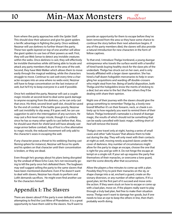from where the party approaches with the *Spider Staff*. This should slow their advance and give his giant spiders a terrific advantage in fighting the party. Once webbed, Nezznar will use *darkness* to further thwart the party. These two spells layered on top of one another will allow the giant spiders to use two of their powers as well. First, they will use Web Sense to detect any invisible creatures within the webs. Once *darkness* is cast, they will effectively be invisible themselves while still being able to locate and attack any party members that are in the area of the *web*. Second, they have Web Walker which allows them to move easily through the magical webbing, while the characters struggle to move. Continue to cast *web* every time a character escapes into an area where no webs exist, Nezznar will have to forgo concentration on the last instance of *web*, but he'll try to keep everyone in a *web* if possible.

Once he's webbed the party, Nezznar will cast a couple *magic missiles* at second-level to deal some quick damage to anyone escaping from the *darkness*, as he can only cast that once. His third, second-level spell slot, should be saved for the end of combat. If the battle goes poorly, Nezznar will cast *invisibility* to slip away. If it goes well, he can use *suggestion* to aid in the interrogation of any survivors. He may cast a first-level *magic missile*, though it is unlikely since he has so many other spells to cast before that. Also, he should save them for *shield* (and will have already cast *mage armor* before combat). *Ray of frost* is a fine alternative to *magic missile*, the reduced movement will only add to the character's woes in escaping the *web*.

If any character poses a threat to his webbing (having cast *flaming sphere* for instance), Nezznar will focus his spells and his spiders on that character until their concentration is broken, or they are dead.

Even though he's grumpy about his plans being disrupted by the undead of Wave Echo Cave, he's not necessarily going to kill the party once he's defeated them. The bugbears may well suggest selling the party to the same slavers that have been mentioned elsewhere. Even if he doesn't want to deal with slavers, Nezznar has rituals to perform and Lolth demands sacrifices. He might even find another use for the characters himself.

## Appendix I: The Slavers

There are slavers about! If the party is ever defeated while attempting to find the Lost Mine of Phandelver, it is a great opportunity to have them sold to the slavers. You'll want to provide an opportunity for them to escape before they've been removed from the area so they have some chance to continue the story before their next adventure begins. If any of the party members died, the slavers will also provide a natural introduction for new characters in the form of fellow captives.

To that end, I introduce Thelga Ironbrand, a young duergar entrepreneur who travels the surface world with a handful of hired hands buying healthy stock for the slave pits of the underdark. Thelga has struck out on her own, and is only loosely affiliated with a larger slaver operation. She has hired a half dozen hobgoblin mercenaries to help in wrangling her acquisitions and warding off double-crossers who might steal from her. Being of lawful disposition, both Thelga and the hobgoblins know the merits of sticking to a deal, but are wise to the fact that few others they'll be dealing with share their opinion.

Night one of their journey with the slavers should give the group something to remember Thelga by, a lovely new brand! Whether it's on their forearm, neck, or cheek is entirely up to how regularly you want to remind them of their failure. Thelga Ironbrand's namesake is a brand of duergar magic, the results of which should not be something that can be easily cancelled with basic magic, nothing short of *heal* will remove the brand.

Thelga's crew travel only at night, having a series of small caves and other "safe houses" that alloww them to hide out during the day. They will only meet with their contacts at night as well, moving newly acquired slaves under the cover of darkness. Any number of circumstances might allow for the party to stage an escape, choose the one that is right for you and go with it. Do not hinge the escape attempt on a single roll. If your set-up requires the party free themselves of their manacles, or overcome a lone guard, start the scene directly after that occurrence.

Allow the players a few minutes to come up with a plan. Possibly they'll try to pick their manacles on the sly, or shape change into a rat, enchant a guard, create an illusionary diversion, or any number of other options. If it's a good plan, let the first part of it succeed and move onto the action. If they seem stuck on how to escape or come up with a bad plan, move on. If the players really want to play through a truly bad plan, feel free to make their situation worse. Thelga won't want to damage her goods, but if one needs to lose an eye to keep the others in line, then that's probably worth doing.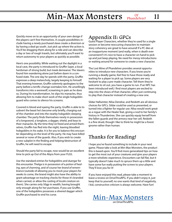## $Min-Max$  Monsters  $_{Phandelver!}$  11 Phandelver!

Quickly move on to an opportunity of your own design if the players can't free themselves. A couple possibilities include having a newly purchased slave create a diversion or by having a deal go south. Just pick up where the action is. You'll be dragging them along for a ride and can describe a day or two of rough travels, but ultimately you'll want to return autonomy to your players as quickly as possible.

Here's one possibility. While waiting out the daylight in a local cave, the party is introduced to Gruffin Sayer, a local herdsman of strong build, but meek demeanor. The slavers found him wandering alone just before dawn in a confused state. The one day he spends with the party, Gruffin expresses a deep melancholy, largely keeping to himself. That evening however, Gruffin solemnly apologizes to the party before a terrific change overtakes him. He unwillingly transforms into a werewolf, screaming in pain as he does so. During his transformation, he slips his manacles, thus allowing him to make short work of the single hobgoblin guard who comes to silence his screams.

Covered in blood and eyeing the party, Gruffin is able to to subvert the beast he's become only briefly, charging out of the chamber and into the nearby hobgoblin sleeping chamber. The party finds themselves newly in possession of a longsword, a longbow, a dagger, shield, and keys to their manacles. By the time they've freed and armed themselves, Gruffin has fled into the night, leaving bloodied hobgoblins in his wake. It is for you to balance this encounter depending on the level of the party. He may have killed several or none of the guards. Also, if you wish to create a new subplot in the finding and helping/destruction of Gruffin, he will need to escape.

Should the party fail to escape, now would be an excellent time to pick up Out of the Abyss from your FLGS.

Use the standard entries for hobgoblins and duergar for this encounter. Thelga is in possession of a *potion of healing*, *eyes of charming*, and of course her *brand of remembrance* (outside of allowing you to mock your players for weeks to come, the brand might also have the ability to grant advantage on tracking checks for those it's branded when carried, or allow the casting of *locate creature* on them). She carries only 50gp in wealth, having brought only enough along for her purchases. If you use Gruffin, one of the hobgoblins possesses a silvered dagger which Gruffin purchased to end his curse.

## Appendix II: GPCs

Guest Player Characters, whether they're used for a single session or become reoccuring characters to maintain story coherency are great to have around! If a PC dies at an inopportune moment (and really, when is death ever convenient?) it's nice to have a character on hand to pick up and just keep playing. No need for messy introductions or waiting around for someone to create a new character.

The Lost Mine of Phandelver provides several opportunities to introduce new characters. If you know you're running a deadly game, feel free to have those ready and waiting for a player to pick up. Some players are very hesitant to play a pre-made character. Tell them they're welcome to sit out, you have a game to run. If an NPC has been introduced well, I find most players are excited to step into the shoes of that character, often just continuing to play that character instead of creating a new one.

Sildar Hallwinter, Nilsa Dendrar, and Reidoth are all obvious choices for GPCs. Sildar could be used as presented, or turned into a fighter for regular use. Nilsa would work great as a rogue with the Healer feat, giving a nod to her family's history in Thundertree. She can quickly equip herself from the fallen guards and the armory near her cell. Reidoth is a fine druid, though I like to think he might be a forest gnome rather than human.

## Thanks for Reading!

I hope you've found something to include in your next game. Please take a look at Min-Max Monsters, the product this is based upon. You'll find more generalized tips on how to get the most out of your creatures and give your players a more wholistic experience. Encounters can fall flat, but it typically doesn't take much to spruce them up a little and have some fun really putting the screws to your players. They'll love you for it!

If you have enjoyed this read, please take a moment to leave a review on DriveThruRPG. If you didn't enjoy it, just keep that to yourself, no one wants that kind of negativity. I kid, constructive criticism is always welcome. Have fun!